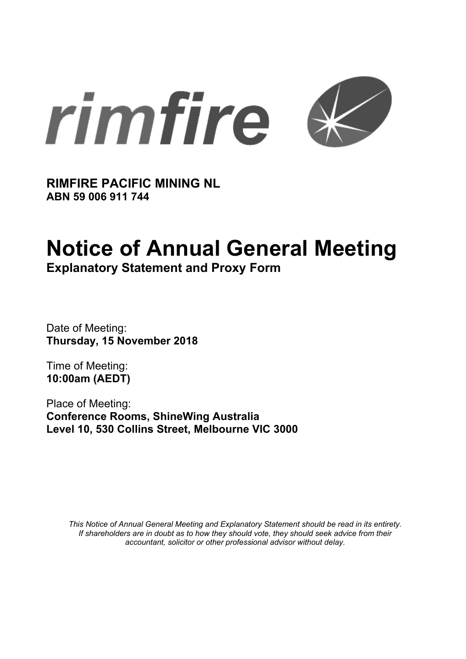

**RIMFIRE PACIFIC MINING NL ABN 59 006 911 744** 

# **Notice of Annual General Meeting**

**Explanatory Statement and Proxy Form**

Date of Meeting: **Thursday, 15 November 2018** 

Time of Meeting: **10:00am (AEDT)** 

Place of Meeting: **Conference Rooms, ShineWing Australia Level 10, 530 Collins Street, Melbourne VIC 3000** 

*This Notice of Annual General Meeting and Explanatory Statement should be read in its entirety. If shareholders are in doubt as to how they should vote, they should seek advice from their accountant, solicitor or other professional advisor without delay.*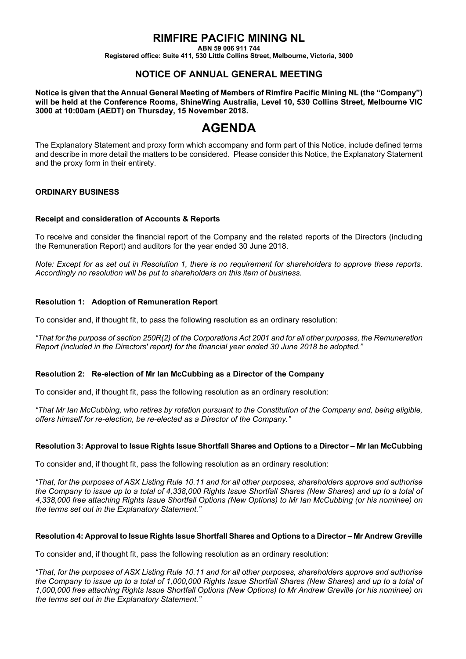# **RIMFIRE PACIFIC MINING NL**

**ABN 59 006 911 744** 

**Registered office: Suite 411, 530 Little Collins Street, Melbourne, Victoria, 3000** 

### **NOTICE OF ANNUAL GENERAL MEETING**

**Notice is given that the Annual General Meeting of Members of Rimfire Pacific Mining NL (the "Company") will be held at the Conference Rooms, ShineWing Australia, Level 10, 530 Collins Street, Melbourne VIC 3000 at 10:00am (AEDT) on Thursday, 15 November 2018.** 

# **AGENDA**

The Explanatory Statement and proxy form which accompany and form part of this Notice, include defined terms and describe in more detail the matters to be considered. Please consider this Notice, the Explanatory Statement and the proxy form in their entirety.

#### **ORDINARY BUSINESS**

#### **Receipt and consideration of Accounts & Reports**

To receive and consider the financial report of the Company and the related reports of the Directors (including the Remuneration Report) and auditors for the year ended 30 June 2018.

*Note: Except for as set out in Resolution 1, there is no requirement for shareholders to approve these reports. Accordingly no resolution will be put to shareholders on this item of business.* 

#### **Resolution 1: Adoption of Remuneration Report**

To consider and, if thought fit, to pass the following resolution as an ordinary resolution:

*"That for the purpose of section 250R(2) of the Corporations Act 2001 and for all other purposes, the Remuneration Report (included in the Directors' report) for the financial year ended 30 June 2018 be adopted."* 

#### **Resolution 2: Re-election of Mr Ian McCubbing as a Director of the Company**

To consider and, if thought fit, pass the following resolution as an ordinary resolution:

*"That Mr Ian McCubbing, who retires by rotation pursuant to the Constitution of the Company and, being eligible, offers himself for re-election, be re-elected as a Director of the Company."* 

#### **Resolution 3: Approval to Issue Rights Issue Shortfall Shares and Options to a Director – Mr Ian McCubbing**

To consider and, if thought fit, pass the following resolution as an ordinary resolution:

*"That, for the purposes of ASX Listing Rule 10.11 and for all other purposes, shareholders approve and authorise the Company to issue up to a total of 4,338,000 Rights Issue Shortfall Shares (New Shares) and up to a total of 4,338,000 free attaching Rights Issue Shortfall Options (New Options) to Mr Ian McCubbing (or his nominee) on the terms set out in the Explanatory Statement."* 

#### **Resolution 4: Approval to Issue Rights Issue Shortfall Shares and Options to a Director – Mr Andrew Greville**

To consider and, if thought fit, pass the following resolution as an ordinary resolution:

*"That, for the purposes of ASX Listing Rule 10.11 and for all other purposes, shareholders approve and authorise the Company to issue up to a total of 1,000,000 Rights Issue Shortfall Shares (New Shares) and up to a total of 1,000,000 free attaching Rights Issue Shortfall Options (New Options) to Mr Andrew Greville (or his nominee) on the terms set out in the Explanatory Statement."*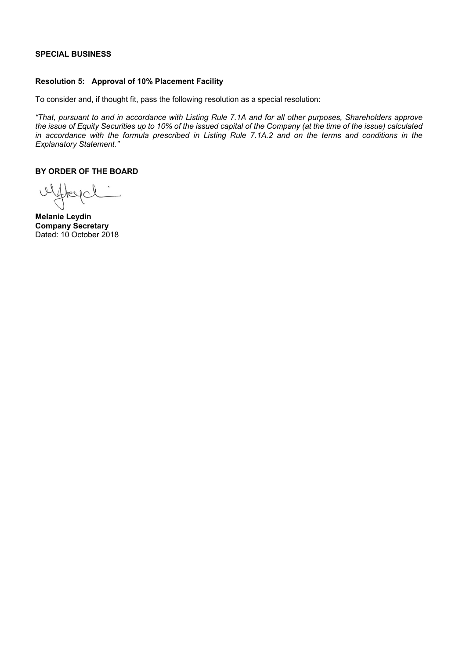#### **SPECIAL BUSINESS**

#### **Resolution 5: Approval of 10% Placement Facility**

To consider and, if thought fit, pass the following resolution as a special resolution:

*"That, pursuant to and in accordance with Listing Rule 7.1A and for all other purposes, Shareholders approve the issue of Equity Securities up to 10% of the issued capital of the Company (at the time of the issue) calculated*  in accordance with the formula prescribed in Listing Rule 7.1A.2 and on the terms and conditions in the *Explanatory Statement."*

**BY ORDER OF THE BOARD** 

uffleyd

**Melanie Leydin Company Secretary** Dated: 10 October 2018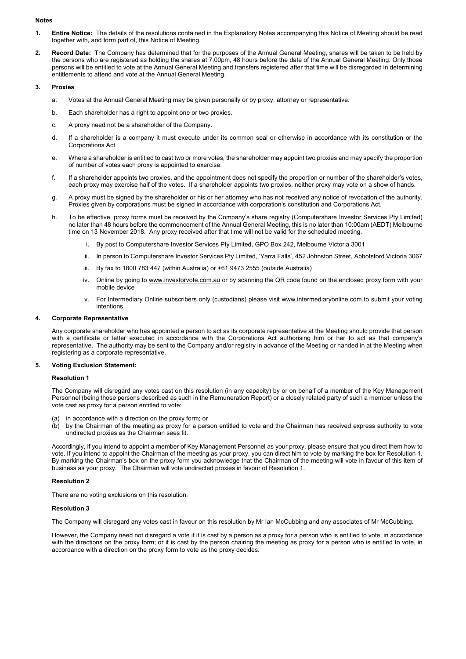#### **Notes**

- **1. Entire Notice:** The details of the resolutions contained in the Explanatory Notes accompanying this Notice of Meeting should be read together with, and form part of, this Notice of Meeting.
- **2. Record Date:** The Company has determined that for the purposes of the Annual General Meeting, shares will be taken to be held by the persons who are registered as holding the shares at 7.00pm, 48 hours before the date of the Annual General Meeting. Only those persons will be entitled to vote at the Annual General Meeting and transfers registered after that time will be disregarded in determining entitlements to attend and vote at the Annual General Meeting.

#### **3. Proxies**

- a. Votes at the Annual General Meeting may be given personally or by proxy, attorney or representative.
- b. Each shareholder has a right to appoint one or two proxies.
- c. A proxy need not be a shareholder of the Company.
- d. If a shareholder is a company it must execute under its common seal or otherwise in accordance with its constitution or the Corporations Act
- e. Where a shareholder is entitled to cast two or more votes, the shareholder may appoint two proxies and may specify the proportion of number of votes each proxy is appointed to exercise.
- f. If a shareholder appoints two proxies, and the appointment does not specify the proportion or number of the shareholder's votes, each proxy may exercise half of the votes. If a shareholder appoints two proxies, neither proxy may vote on a show of hands.
- g. A proxy must be signed by the shareholder or his or her attorney who has not received any notice of revocation of the authority. Proxies given by corporations must be signed in accordance with corporation's constitution and Corporations Act.
- h. To be effective, proxy forms must be received by the Company's share registry (Computershare Investor Services Pty Limited) no later than 48 hours before the commencement of the Annual General Meeting, this is no later than 10:00am (AEDT) Melbourne time on 13 November 2018. Any proxy received after that time will not be valid for the scheduled meeting.
	- i. By post to Computershare Investor Services Pty Limited, GPO Box 242, Melbourne Victoria 3001
	- ii. In person to Computershare Investor Services Pty Limited, 'Yarra Falls', 452 Johnston Street, Abbotsford Victoria 3067
	- iii. By fax to 1800 783 447 (within Australia) or +61 9473 2555 (outside Australia)
	- iv. Online by going to www.investorvote.com.au or by scanning the QR code found on the enclosed proxy form with your mobile device
	- v. For Intermediary Online subscribers only (custodians) please visit www.intermediaryonline.com to submit your voting intentions

#### **4. Corporate Representative**

Any corporate shareholder who has appointed a person to act as its corporate representative at the Meeting should provide that person with a certificate or letter executed in accordance with the Corporations Act authorising him or her to act as that company's representative. The authority may be sent to the Company and/or registry in advance of the Meeting or handed in at the Meeting when registering as a corporate representative.

#### **5. Voting Exclusion Statement:**

#### **Resolution 1**

The Company will disregard any votes cast on this resolution (in any capacity) by or on behalf of a member of the Key Management Personnel (being those persons described as such in the Remuneration Report) or a closely related party of such a member unless the vote cast as proxy for a person entitled to vote:

- (a) in accordance with a direction on the proxy form; or
- (b) by the Chairman of the meeting as proxy for a person entitled to vote and the Chairman has received express authority to vote undirected proxies as the Chairman sees fit.

Accordingly, if you intend to appoint a member of Key Management Personnel as your proxy, please ensure that you direct them how to vote. If you intend to appoint the Chairman of the meeting as your proxy, you can direct him to vote by marking the box for Resolution 1. By marking the Chairman's box on the proxy form you acknowledge that the Chairman of the meeting will vote in favour of this item of business as your proxy. The Chairman will vote undirected proxies in favour of Resolution 1.

#### **Resolution 2**

There are no voting exclusions on this resolution.

#### **Resolution 3**

The Company will disregard any votes cast in favour on this resolution by Mr Ian McCubbing and any associates of Mr McCubbing.

However, the Company need not disregard a vote if it is cast by a person as a proxy for a person who is entitled to vote, in accordance with the directions on the proxy form; or it is cast by the person chairing the meeting as proxy for a person who is entitled to vote, in accordance with a direction on the proxy form to vote as the proxy decides.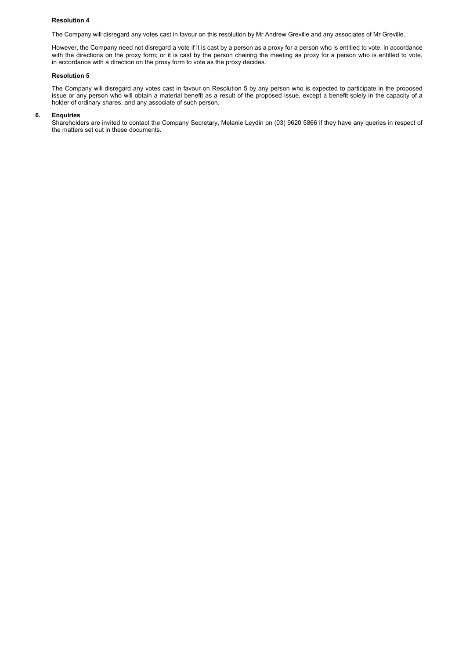#### **Resolution 4**

The Company will disregard any votes cast in favour on this resolution by Mr Andrew Greville and any associates of Mr Greville.

However, the Company need not disregard a vote if it is cast by a person as a proxy for a person who is entitled to vote, in accordance with the directions on the proxy form; or it is cast by the person chairing the meeting as proxy for a person who is entitled to vote, in accordance with a direction on the proxy form to vote as the proxy decides.

#### **Resolution 5**

The Company will disregard any votes cast in favour on Resolution 5 by any person who is expected to participate in the proposed issue or any person who will obtain a material benefit as a result of the proposed issue, except a benefit solely in the capacity of a holder of ordinary shares, and any associate of such person.

#### **6. Enquiries**

Shareholders are invited to contact the Company Secretary, Melanie Leydin on (03) 9620 5866 if they have any queries in respect of the matters set out in these documents.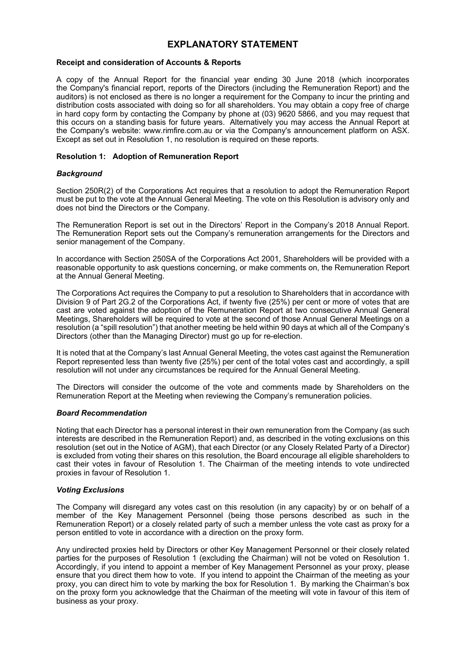## **EXPLANATORY STATEMENT**

#### **Receipt and consideration of Accounts & Reports**

A copy of the Annual Report for the financial year ending 30 June 2018 (which incorporates the Company's financial report, reports of the Directors (including the Remuneration Report) and the auditors) is not enclosed as there is no longer a requirement for the Company to incur the printing and distribution costs associated with doing so for all shareholders. You may obtain a copy free of charge in hard copy form by contacting the Company by phone at (03) 9620 5866, and you may request that this occurs on a standing basis for future years. Alternatively you may access the Annual Report at the Company's website: www.rimfire.com.au or via the Company's announcement platform on ASX. Except as set out in Resolution 1, no resolution is required on these reports.

#### **Resolution 1: Adoption of Remuneration Report**

#### *Background*

Section 250R(2) of the Corporations Act requires that a resolution to adopt the Remuneration Report must be put to the vote at the Annual General Meeting. The vote on this Resolution is advisory only and does not bind the Directors or the Company.

The Remuneration Report is set out in the Directors' Report in the Company's 2018 Annual Report. The Remuneration Report sets out the Company's remuneration arrangements for the Directors and senior management of the Company.

In accordance with Section 250SA of the Corporations Act 2001, Shareholders will be provided with a reasonable opportunity to ask questions concerning, or make comments on, the Remuneration Report at the Annual General Meeting.

The Corporations Act requires the Company to put a resolution to Shareholders that in accordance with Division 9 of Part 2G.2 of the Corporations Act, if twenty five (25%) per cent or more of votes that are cast are voted against the adoption of the Remuneration Report at two consecutive Annual General Meetings, Shareholders will be required to vote at the second of those Annual General Meetings on a resolution (a "spill resolution") that another meeting be held within 90 days at which all of the Company's Directors (other than the Managing Director) must go up for re-election.

It is noted that at the Company's last Annual General Meeting, the votes cast against the Remuneration Report represented less than twenty five (25%) per cent of the total votes cast and accordingly, a spill resolution will not under any circumstances be required for the Annual General Meeting.

The Directors will consider the outcome of the vote and comments made by Shareholders on the Remuneration Report at the Meeting when reviewing the Company's remuneration policies.

#### *Board Recommendation*

Noting that each Director has a personal interest in their own remuneration from the Company (as such interests are described in the Remuneration Report) and, as described in the voting exclusions on this resolution (set out in the Notice of AGM), that each Director (or any Closely Related Party of a Director) is excluded from voting their shares on this resolution, the Board encourage all eligible shareholders to cast their votes in favour of Resolution 1. The Chairman of the meeting intends to vote undirected proxies in favour of Resolution 1.

#### *Voting Exclusions*

The Company will disregard any votes cast on this resolution (in any capacity) by or on behalf of a member of the Key Management Personnel (being those persons described as such in the Remuneration Report) or a closely related party of such a member unless the vote cast as proxy for a person entitled to vote in accordance with a direction on the proxy form.

Any undirected proxies held by Directors or other Key Management Personnel or their closely related parties for the purposes of Resolution 1 (excluding the Chairman) will not be voted on Resolution 1. Accordingly, if you intend to appoint a member of Key Management Personnel as your proxy, please ensure that you direct them how to vote. If you intend to appoint the Chairman of the meeting as your proxy, you can direct him to vote by marking the box for Resolution 1. By marking the Chairman's box on the proxy form you acknowledge that the Chairman of the meeting will vote in favour of this item of business as your proxy.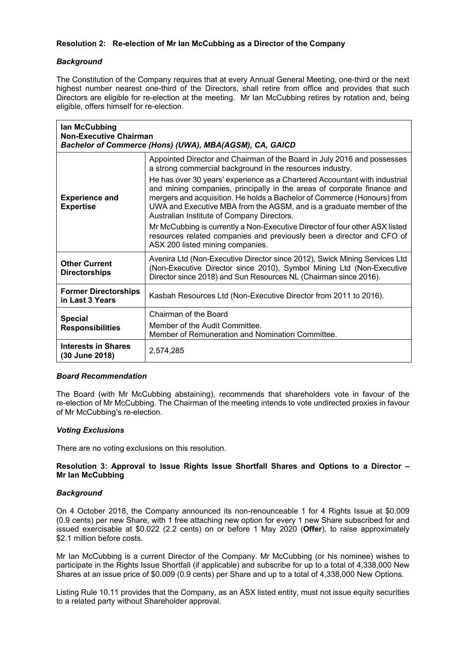#### **Resolution 2: Re-election of Mr Ian McCubbing as a Director of the Company**

#### *Background*

The Constitution of the Company requires that at every Annual General Meeting, one-third or the next highest number nearest one-third of the Directors, shall retire from office and provides that such Directors are eligible for re-election at the meeting. Mr Ian McCubbing retires by rotation and, being eligible, offers himself for re-election.

| lan McCubbing<br><b>Non-Executive Chairman</b> | Bachelor of Commerce (Hons) (UWA), MBA(AGSM), CA, GAICD                                                                                                                                                                                                                                                                                                |
|------------------------------------------------|--------------------------------------------------------------------------------------------------------------------------------------------------------------------------------------------------------------------------------------------------------------------------------------------------------------------------------------------------------|
| <b>Experience and</b><br><b>Expertise</b>      | Appointed Director and Chairman of the Board in July 2016 and possesses<br>a strong commercial background in the resources industry.                                                                                                                                                                                                                   |
|                                                | He has over 30 years' experience as a Chartered Accountant with industrial<br>and mining companies, principally in the areas of corporate finance and<br>mergers and acquisition. He holds a Bachelor of Commerce (Honours) from<br>UWA and Executive MBA from the AGSM, and is a graduate member of the<br>Australian Institute of Company Directors. |
|                                                | Mr McCubbing is currently a Non-Executive Director of four other ASX listed<br>resources related companies and previously been a director and CFO of<br>ASX 200 listed mining companies.                                                                                                                                                               |
| <b>Other Current</b><br><b>Directorships</b>   | Avenira Ltd (Non-Executive Director since 2012), Swick Mining Services Ltd<br>(Non-Executive Director since 2010), Symbol Mining Ltd (Non-Executive<br>Director since 2018) and Sun Resources NL (Chairman since 2016).                                                                                                                                |
| <b>Former Directorships</b><br>in Last 3 Years | Kasbah Resources Ltd (Non-Executive Director from 2011 to 2016).                                                                                                                                                                                                                                                                                       |
| <b>Special</b><br><b>Responsibilities</b>      | Chairman of the Board                                                                                                                                                                                                                                                                                                                                  |
|                                                | Member of the Audit Committee.<br>Member of Remuneration and Nomination Committee.                                                                                                                                                                                                                                                                     |
| <b>Interests in Shares</b><br>(30 June 2018)   | 2,574,285                                                                                                                                                                                                                                                                                                                                              |

#### *Board Recommendation*

The Board (with Mr McCubbing abstaining), recommends that shareholders vote in favour of the re-election of Mr McCubbing. The Chairman of the meeting intends to vote undirected proxies in favour of Mr McCubbing's re-election.

#### *Voting Exclusions*

There are no voting exclusions on this resolution.

#### **Resolution 3: Approval to Issue Rights Issue Shortfall Shares and Options to a Director – Mr Ian McCubbing**

#### *Background*

On 4 October 2018, the Company announced its non-renounceable 1 for 4 Rights Issue at \$0.009 (0.9 cents) per new Share, with 1 free attaching new option for every 1 new Share subscribed for and issued exercisable at \$0.022 (2.2 cents) on or before 1 May 2020 (**Offer**), to raise approximately \$2.1 million before costs.

Mr Ian McCubbing is a current Director of the Company. Mr McCubbing (or his nominee) wishes to participate in the Rights Issue Shortfall (if applicable) and subscribe for up to a total of 4,338,000 New Shares at an issue price of \$0.009 (0.9 cents) per Share and up to a total of 4,338,000 New Options.

Listing Rule 10.11 provides that the Company, as an ASX listed entity, must not issue equity securities to a related party without Shareholder approval.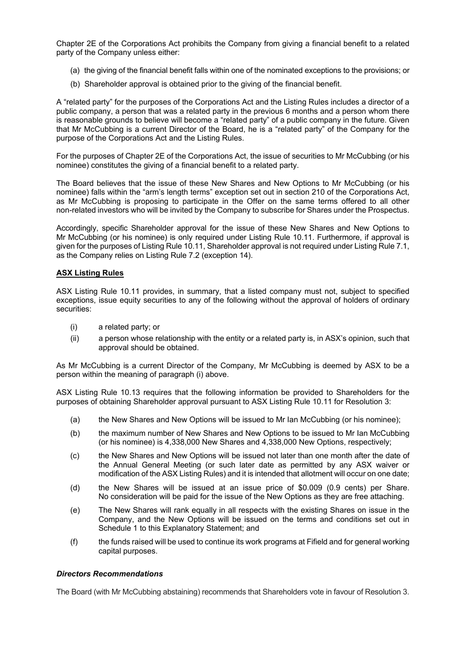Chapter 2E of the Corporations Act prohibits the Company from giving a financial benefit to a related party of the Company unless either:

- (a) the giving of the financial benefit falls within one of the nominated exceptions to the provisions; or
- (b) Shareholder approval is obtained prior to the giving of the financial benefit.

A "related party" for the purposes of the Corporations Act and the Listing Rules includes a director of a public company, a person that was a related party in the previous 6 months and a person whom there is reasonable grounds to believe will become a "related party" of a public company in the future. Given that Mr McCubbing is a current Director of the Board, he is a "related party" of the Company for the purpose of the Corporations Act and the Listing Rules.

For the purposes of Chapter 2E of the Corporations Act, the issue of securities to Mr McCubbing (or his nominee) constitutes the giving of a financial benefit to a related party.

The Board believes that the issue of these New Shares and New Options to Mr McCubbing (or his nominee) falls within the "arm's length terms" exception set out in section 210 of the Corporations Act, as Mr McCubbing is proposing to participate in the Offer on the same terms offered to all other non-related investors who will be invited by the Company to subscribe for Shares under the Prospectus.

Accordingly, specific Shareholder approval for the issue of these New Shares and New Options to Mr McCubbing (or his nominee) is only required under Listing Rule 10.11. Furthermore, if approval is given for the purposes of Listing Rule 10.11, Shareholder approval is not required under Listing Rule 7.1, as the Company relies on Listing Rule 7.2 (exception 14).

#### **ASX Listing Rules**

ASX Listing Rule 10.11 provides, in summary, that a listed company must not, subject to specified exceptions, issue equity securities to any of the following without the approval of holders of ordinary securities:

- (i) a related party; or
- (ii) a person whose relationship with the entity or a related party is, in ASX's opinion, such that approval should be obtained.

As Mr McCubbing is a current Director of the Company, Mr McCubbing is deemed by ASX to be a person within the meaning of paragraph (i) above.

ASX Listing Rule 10.13 requires that the following information be provided to Shareholders for the purposes of obtaining Shareholder approval pursuant to ASX Listing Rule 10.11 for Resolution 3:

- (a) the New Shares and New Options will be issued to Mr Ian McCubbing (or his nominee);
- (b) the maximum number of New Shares and New Options to be issued to Mr Ian McCubbing (or his nominee) is 4,338,000 New Shares and 4,338,000 New Options, respectively;
- (c) the New Shares and New Options will be issued not later than one month after the date of the Annual General Meeting (or such later date as permitted by any ASX waiver or modification of the ASX Listing Rules) and it is intended that allotment will occur on one date;
- (d) the New Shares will be issued at an issue price of \$0.009 (0.9 cents) per Share. No consideration will be paid for the issue of the New Options as they are free attaching.
- (e) The New Shares will rank equally in all respects with the existing Shares on issue in the Company, and the New Options will be issued on the terms and conditions set out in Schedule 1 to this Explanatory Statement; and
- (f) the funds raised will be used to continue its work programs at Fifield and for general working capital purposes.

#### *Directors Recommendations*

The Board (with Mr McCubbing abstaining) recommends that Shareholders vote in favour of Resolution 3.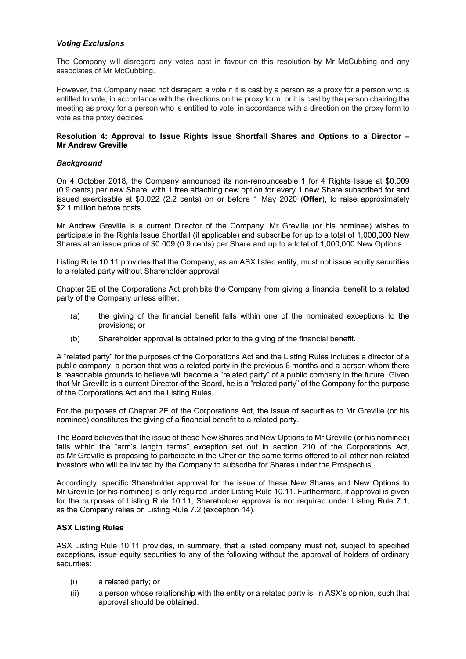#### *Voting Exclusions*

The Company will disregard any votes cast in favour on this resolution by Mr McCubbing and any associates of Mr McCubbing.

However, the Company need not disregard a vote if it is cast by a person as a proxy for a person who is entitled to vote, in accordance with the directions on the proxy form; or it is cast by the person chairing the meeting as proxy for a person who is entitled to vote, in accordance with a direction on the proxy form to vote as the proxy decides.

#### **Resolution 4: Approval to Issue Rights Issue Shortfall Shares and Options to a Director – Mr Andrew Greville**

#### *Background*

On 4 October 2018, the Company announced its non-renounceable 1 for 4 Rights Issue at \$0.009 (0.9 cents) per new Share, with 1 free attaching new option for every 1 new Share subscribed for and issued exercisable at \$0.022 (2.2 cents) on or before 1 May 2020 (**Offer**), to raise approximately \$2.1 million before costs.

Mr Andrew Greville is a current Director of the Company. Mr Greville (or his nominee) wishes to participate in the Rights Issue Shortfall (if applicable) and subscribe for up to a total of 1,000,000 New Shares at an issue price of \$0.009 (0.9 cents) per Share and up to a total of 1,000,000 New Options.

Listing Rule 10.11 provides that the Company, as an ASX listed entity, must not issue equity securities to a related party without Shareholder approval.

Chapter 2E of the Corporations Act prohibits the Company from giving a financial benefit to a related party of the Company unless either:

- (a) the giving of the financial benefit falls within one of the nominated exceptions to the provisions; or
- (b) Shareholder approval is obtained prior to the giving of the financial benefit.

A "related party" for the purposes of the Corporations Act and the Listing Rules includes a director of a public company, a person that was a related party in the previous 6 months and a person whom there is reasonable grounds to believe will become a "related party" of a public company in the future. Given that Mr Greville is a current Director of the Board, he is a "related party" of the Company for the purpose of the Corporations Act and the Listing Rules.

For the purposes of Chapter 2E of the Corporations Act, the issue of securities to Mr Greville (or his nominee) constitutes the giving of a financial benefit to a related party.

The Board believes that the issue of these New Shares and New Options to Mr Greville (or his nominee) falls within the "arm's length terms" exception set out in section 210 of the Corporations Act, as Mr Greville is proposing to participate in the Offer on the same terms offered to all other non-related investors who will be invited by the Company to subscribe for Shares under the Prospectus.

Accordingly, specific Shareholder approval for the issue of these New Shares and New Options to Mr Greville (or his nominee) is only required under Listing Rule 10.11. Furthermore, if approval is given for the purposes of Listing Rule 10.11, Shareholder approval is not required under Listing Rule 7.1, as the Company relies on Listing Rule 7.2 (exception 14).

#### **ASX Listing Rules**

ASX Listing Rule 10.11 provides, in summary, that a listed company must not, subject to specified exceptions, issue equity securities to any of the following without the approval of holders of ordinary securities:

- (i) a related party; or
- (ii) a person whose relationship with the entity or a related party is, in ASX's opinion, such that approval should be obtained.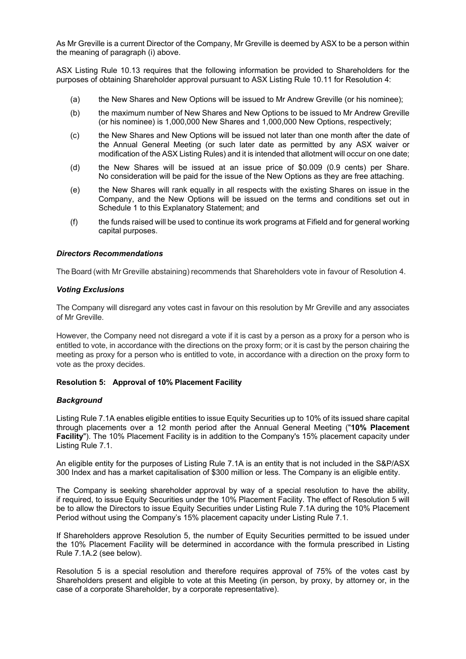As Mr Greville is a current Director of the Company, Mr Greville is deemed by ASX to be a person within the meaning of paragraph (i) above.

ASX Listing Rule 10.13 requires that the following information be provided to Shareholders for the purposes of obtaining Shareholder approval pursuant to ASX Listing Rule 10.11 for Resolution 4:

- (a) the New Shares and New Options will be issued to Mr Andrew Greville (or his nominee);
- (b) the maximum number of New Shares and New Options to be issued to Mr Andrew Greville (or his nominee) is 1,000,000 New Shares and 1,000,000 New Options, respectively;
- (c) the New Shares and New Options will be issued not later than one month after the date of the Annual General Meeting (or such later date as permitted by any ASX waiver or modification of the ASX Listing Rules) and it is intended that allotment will occur on one date;
- (d) the New Shares will be issued at an issue price of \$0.009 (0.9 cents) per Share. No consideration will be paid for the issue of the New Options as they are free attaching.
- (e) the New Shares will rank equally in all respects with the existing Shares on issue in the Company, and the New Options will be issued on the terms and conditions set out in Schedule 1 to this Explanatory Statement; and
- (f) the funds raised will be used to continue its work programs at Fifield and for general working capital purposes.

#### *Directors Recommendations*

The Board (with Mr Greville abstaining) recommends that Shareholders vote in favour of Resolution 4.

#### *Voting Exclusions*

The Company will disregard any votes cast in favour on this resolution by Mr Greville and any associates of Mr Greville.

However, the Company need not disregard a vote if it is cast by a person as a proxy for a person who is entitled to vote, in accordance with the directions on the proxy form; or it is cast by the person chairing the meeting as proxy for a person who is entitled to vote, in accordance with a direction on the proxy form to vote as the proxy decides.

#### **Resolution 5: Approval of 10% Placement Facility**

#### *Background*

Listing Rule 7.1A enables eligible entities to issue Equity Securities up to 10% of its issued share capital through placements over a 12 month period after the Annual General Meeting ("**10% Placement Facility**"). The 10% Placement Facility is in addition to the Company's 15% placement capacity under Listing Rule 7.1.

An eligible entity for the purposes of Listing Rule 7.1A is an entity that is not included in the S&P/ASX 300 Index and has a market capitalisation of \$300 million or less. The Company is an eligible entity.

The Company is seeking shareholder approval by way of a special resolution to have the ability, if required, to issue Equity Securities under the 10% Placement Facility. The effect of Resolution 5 will be to allow the Directors to issue Equity Securities under Listing Rule 7.1A during the 10% Placement Period without using the Company's 15% placement capacity under Listing Rule 7.1.

If Shareholders approve Resolution 5, the number of Equity Securities permitted to be issued under the 10% Placement Facility will be determined in accordance with the formula prescribed in Listing Rule 7.1A.2 (see below).

Resolution 5 is a special resolution and therefore requires approval of 75% of the votes cast by Shareholders present and eligible to vote at this Meeting (in person, by proxy, by attorney or, in the case of a corporate Shareholder, by a corporate representative).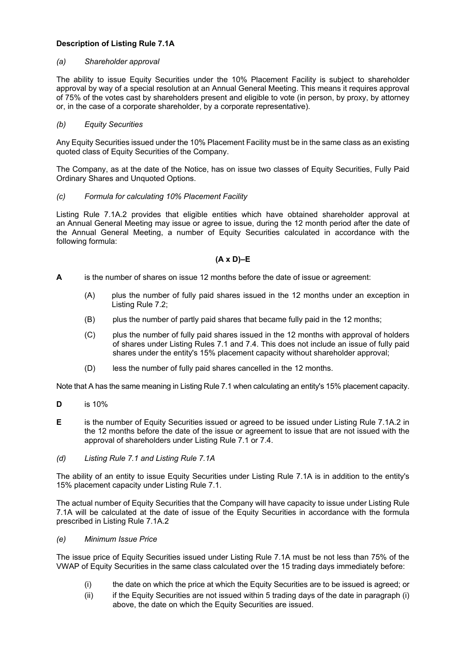#### **Description of Listing Rule 7.1A**

#### *(a) Shareholder approval*

The ability to issue Equity Securities under the 10% Placement Facility is subject to shareholder approval by way of a special resolution at an Annual General Meeting. This means it requires approval of 75% of the votes cast by shareholders present and eligible to vote (in person, by proxy, by attorney or, in the case of a corporate shareholder, by a corporate representative).

#### *(b) Equity Securities*

Any Equity Securities issued under the 10% Placement Facility must be in the same class as an existing quoted class of Equity Securities of the Company.

The Company, as at the date of the Notice, has on issue two classes of Equity Securities, Fully Paid Ordinary Shares and Unquoted Options.

#### *(c) Formula for calculating 10% Placement Facility*

Listing Rule 7.1A.2 provides that eligible entities which have obtained shareholder approval at an Annual General Meeting may issue or agree to issue, during the 12 month period after the date of the Annual General Meeting, a number of Equity Securities calculated in accordance with the following formula:

#### **(A x D)–E**

- **A** is the number of shares on issue 12 months before the date of issue or agreement:
	- (A) plus the number of fully paid shares issued in the 12 months under an exception in Listing Rule 7.2;
	- (B) plus the number of partly paid shares that became fully paid in the 12 months;
	- (C) plus the number of fully paid shares issued in the 12 months with approval of holders of shares under Listing Rules 7.1 and 7.4. This does not include an issue of fully paid shares under the entity's 15% placement capacity without shareholder approval;
	- (D) less the number of fully paid shares cancelled in the 12 months.

Note that A has the same meaning in Listing Rule 7.1 when calculating an entity's 15% placement capacity.

- **D** is 10%
- **E** is the number of Equity Securities issued or agreed to be issued under Listing Rule 7.1A.2 in the 12 months before the date of the issue or agreement to issue that are not issued with the approval of shareholders under Listing Rule 7.1 or 7.4.
- *(d) Listing Rule 7.1 and Listing Rule 7.1A*

The ability of an entity to issue Equity Securities under Listing Rule 7.1A is in addition to the entity's 15% placement capacity under Listing Rule 7.1.

The actual number of Equity Securities that the Company will have capacity to issue under Listing Rule 7.1A will be calculated at the date of issue of the Equity Securities in accordance with the formula prescribed in Listing Rule 7.1A.2

#### *(e) Minimum Issue Price*

The issue price of Equity Securities issued under Listing Rule 7.1A must be not less than 75% of the VWAP of Equity Securities in the same class calculated over the 15 trading days immediately before:

- (i) the date on which the price at which the Equity Securities are to be issued is agreed; or
- (ii) if the Equity Securities are not issued within 5 trading days of the date in paragraph (i) above, the date on which the Equity Securities are issued.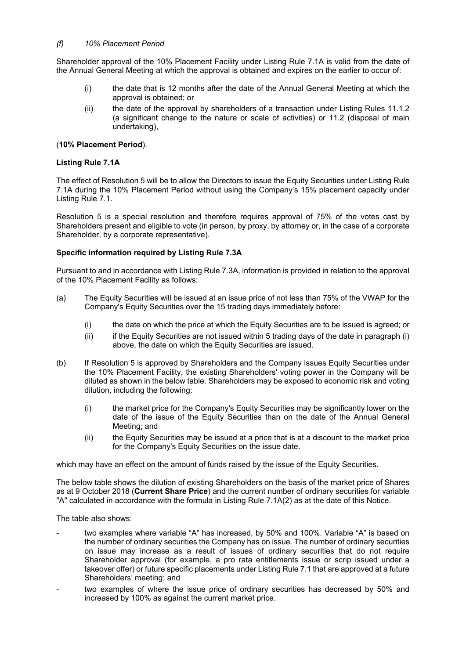#### *(f) 10% Placement Period*

Shareholder approval of the 10% Placement Facility under Listing Rule 7.1A is valid from the date of the Annual General Meeting at which the approval is obtained and expires on the earlier to occur of:

- (i) the date that is 12 months after the date of the Annual General Meeting at which the approval is obtained; or
- (ii) the date of the approval by shareholders of a transaction under Listing Rules 11.1.2 (a significant change to the nature or scale of activities) or 11.2 (disposal of main undertaking),

#### (**10% Placement Period**).

#### **Listing Rule 7.1A**

The effect of Resolution 5 will be to allow the Directors to issue the Equity Securities under Listing Rule 7.1A during the 10% Placement Period without using the Company's 15% placement capacity under Listing Rule 7.1.

Resolution 5 is a special resolution and therefore requires approval of 75% of the votes cast by Shareholders present and eligible to vote (in person, by proxy, by attorney or, in the case of a corporate Shareholder, by a corporate representative).

#### **Specific information required by Listing Rule 7.3A**

Pursuant to and in accordance with Listing Rule 7.3A, information is provided in relation to the approval of the 10% Placement Facility as follows:

- (a) The Equity Securities will be issued at an issue price of not less than 75% of the VWAP for the Company's Equity Securities over the 15 trading days immediately before:
	- (i) the date on which the price at which the Equity Securities are to be issued is agreed; or
	- (ii) if the Equity Securities are not issued within 5 trading days of the date in paragraph (i) above, the date on which the Equity Securities are issued.
- (b) If Resolution 5 is approved by Shareholders and the Company issues Equity Securities under the 10% Placement Facility, the existing Shareholders' voting power in the Company will be diluted as shown in the below table. Shareholders may be exposed to economic risk and voting dilution, including the following:
	- (i) the market price for the Company's Equity Securities may be significantly lower on the date of the issue of the Equity Securities than on the date of the Annual General Meeting; and
	- (ii) the Equity Securities may be issued at a price that is at a discount to the market price for the Company's Equity Securities on the issue date.

which may have an effect on the amount of funds raised by the issue of the Equity Securities.

The below table shows the dilution of existing Shareholders on the basis of the market price of Shares as at 9 October 2018 (**Current Share Price**) and the current number of ordinary securities for variable "A" calculated in accordance with the formula in Listing Rule 7.1A(2) as at the date of this Notice.

The table also shows:

- two examples where variable "A" has increased, by 50% and 100%. Variable "A" is based on the number of ordinary securities the Company has on issue. The number of ordinary securities on issue may increase as a result of issues of ordinary securities that do not require Shareholder approval (for example, a pro rata entitlements issue or scrip issued under a takeover offer) or future specific placements under Listing Rule 7.1 that are approved at a future Shareholders' meeting; and
- two examples of where the issue price of ordinary securities has decreased by 50% and increased by 100% as against the current market price.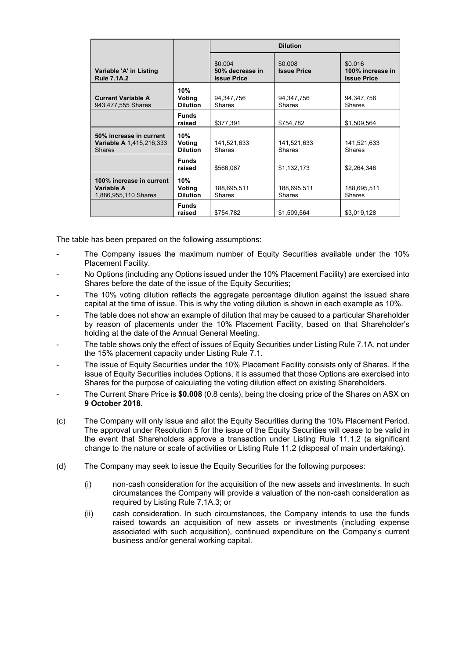|                                                                      |                                  | <b>Dilution</b>                                  |                               |                                                   |
|----------------------------------------------------------------------|----------------------------------|--------------------------------------------------|-------------------------------|---------------------------------------------------|
| Variable 'A' in Listing<br><b>Rule 7.1A.2</b>                        |                                  | \$0.004<br>50% decrease in<br><b>Issue Price</b> | \$0.008<br><b>Issue Price</b> | \$0.016<br>100% increase in<br><b>Issue Price</b> |
| <b>Current Variable A</b><br>943,477,555 Shares                      | 10%<br>Voting<br><b>Dilution</b> | 94, 347, 756<br><b>Shares</b>                    | 94, 347, 756<br>Shares        | 94, 347, 756<br><b>Shares</b>                     |
|                                                                      | <b>Funds</b><br>raised           | \$377,391                                        | \$754,782                     | \$1,509,564                                       |
| 50% increase in current<br>Variable A 1,415,216,333<br><b>Shares</b> | 10%<br>Voting<br><b>Dilution</b> | 141,521,633<br><b>Shares</b>                     | 141,521,633<br><b>Shares</b>  | 141,521,633<br><b>Shares</b>                      |
|                                                                      | <b>Funds</b><br>raised           | \$566,087                                        | \$1,132,173                   | \$2,264,346                                       |
| 100% increase in current<br>Variable A<br>1,886,955,110 Shares       | 10%<br>Voting<br><b>Dilution</b> | 188,695,511<br><b>Shares</b>                     | 188,695,511<br><b>Shares</b>  | 188,695,511<br><b>Shares</b>                      |
|                                                                      | <b>Funds</b><br>raised           | \$754,782                                        | \$1,509,564                   | \$3,019,128                                       |

The table has been prepared on the following assumptions:

- The Company issues the maximum number of Equity Securities available under the 10% Placement Facility.
- No Options (including any Options issued under the 10% Placement Facility) are exercised into Shares before the date of the issue of the Equity Securities;
- The 10% voting dilution reflects the aggregate percentage dilution against the issued share capital at the time of issue. This is why the voting dilution is shown in each example as 10%.
- The table does not show an example of dilution that may be caused to a particular Shareholder by reason of placements under the 10% Placement Facility, based on that Shareholder's holding at the date of the Annual General Meeting.
- The table shows only the effect of issues of Equity Securities under Listing Rule 7.1A, not under the 15% placement capacity under Listing Rule 7.1.
- The issue of Equity Securities under the 10% Placement Facility consists only of Shares. If the issue of Equity Securities includes Options, it is assumed that those Options are exercised into Shares for the purpose of calculating the voting dilution effect on existing Shareholders.
- The Current Share Price is **\$0.008** (0.8 cents), being the closing price of the Shares on ASX on **9 October 2018**.
- (c) The Company will only issue and allot the Equity Securities during the 10% Placement Period. The approval under Resolution 5 for the issue of the Equity Securities will cease to be valid in the event that Shareholders approve a transaction under Listing Rule 11.1.2 (a significant change to the nature or scale of activities or Listing Rule 11.2 (disposal of main undertaking).
- (d) The Company may seek to issue the Equity Securities for the following purposes:
	- (i) non-cash consideration for the acquisition of the new assets and investments. In such circumstances the Company will provide a valuation of the non-cash consideration as required by Listing Rule 7.1A.3; or
	- (ii) cash consideration. In such circumstances, the Company intends to use the funds raised towards an acquisition of new assets or investments (including expense associated with such acquisition), continued expenditure on the Company's current business and/or general working capital.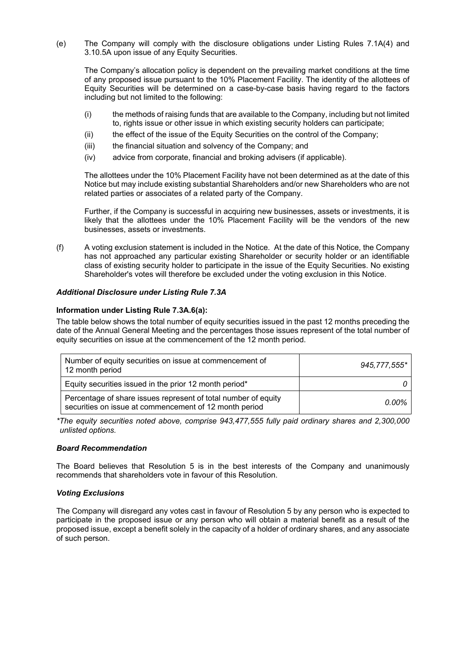(e) The Company will comply with the disclosure obligations under Listing Rules 7.1A(4) and 3.10.5A upon issue of any Equity Securities.

The Company's allocation policy is dependent on the prevailing market conditions at the time of any proposed issue pursuant to the 10% Placement Facility. The identity of the allottees of Equity Securities will be determined on a case-by-case basis having regard to the factors including but not limited to the following:

- (i) the methods of raising funds that are available to the Company, including but not limited to, rights issue or other issue in which existing security holders can participate;
- (ii) the effect of the issue of the Equity Securities on the control of the Company;
- (iii) the financial situation and solvency of the Company; and
- (iv) advice from corporate, financial and broking advisers (if applicable).

The allottees under the 10% Placement Facility have not been determined as at the date of this Notice but may include existing substantial Shareholders and/or new Shareholders who are not related parties or associates of a related party of the Company.

Further, if the Company is successful in acquiring new businesses, assets or investments, it is likely that the allottees under the 10% Placement Facility will be the vendors of the new businesses, assets or investments.

(f) A voting exclusion statement is included in the Notice. At the date of this Notice, the Company has not approached any particular existing Shareholder or security holder or an identifiable class of existing security holder to participate in the issue of the Equity Securities. No existing Shareholder's votes will therefore be excluded under the voting exclusion in this Notice.

#### *Additional Disclosure under Listing Rule 7.3A*

#### **Information under Listing Rule 7.3A.6(a):**

The table below shows the total number of equity securities issued in the past 12 months preceding the date of the Annual General Meeting and the percentages those issues represent of the total number of equity securities on issue at the commencement of the 12 month period.

| Number of equity securities on issue at commencement of<br>12 month period                                               | 945,777,555* |
|--------------------------------------------------------------------------------------------------------------------------|--------------|
| Equity securities issued in the prior 12 month period*                                                                   |              |
| Percentage of share issues represent of total number of equity<br>securities on issue at commencement of 12 month period | 0.00%        |

*\*The equity securities noted above, comprise 943,477,555 fully paid ordinary shares and 2,300,000 unlisted options.* 

#### *Board Recommendation*

The Board believes that Resolution 5 is in the best interests of the Company and unanimously recommends that shareholders vote in favour of this Resolution.

#### *Voting Exclusions*

The Company will disregard any votes cast in favour of Resolution 5 by any person who is expected to participate in the proposed issue or any person who will obtain a material benefit as a result of the proposed issue, except a benefit solely in the capacity of a holder of ordinary shares, and any associate of such person.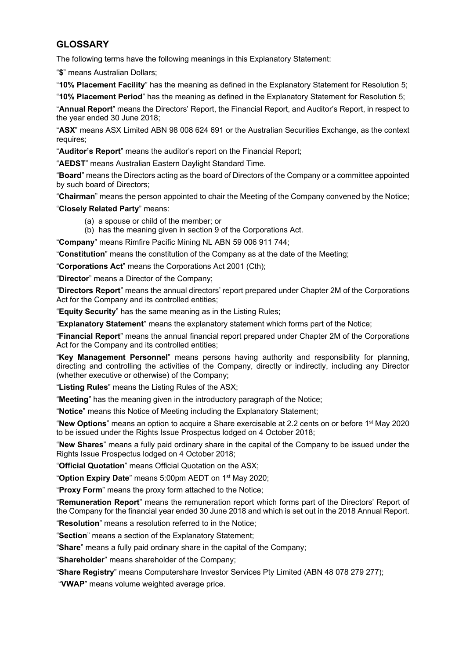# **GLOSSARY**

The following terms have the following meanings in this Explanatory Statement:

"**\$**" means Australian Dollars;

"**10% Placement Facility**" has the meaning as defined in the Explanatory Statement for Resolution 5;

"**10% Placement Period**" has the meaning as defined in the Explanatory Statement for Resolution 5;

"**Annual Report**" means the Directors' Report, the Financial Report, and Auditor's Report, in respect to the year ended 30 June 2018;

"**ASX**" means ASX Limited ABN 98 008 624 691 or the Australian Securities Exchange, as the context requires;

"**Auditor's Report**" means the auditor's report on the Financial Report;

"**AEDST**" means Australian Eastern Daylight Standard Time.

"**Board**" means the Directors acting as the board of Directors of the Company or a committee appointed by such board of Directors;

"**Chairman**" means the person appointed to chair the Meeting of the Company convened by the Notice;

"**Closely Related Party**" means:

- (a) a spouse or child of the member; or
- (b) has the meaning given in section 9 of the Corporations Act.

"**Company**" means Rimfire Pacific Mining NL ABN 59 006 911 744;

"**Constitution**" means the constitution of the Company as at the date of the Meeting;

"**Corporations Act**" means the Corporations Act 2001 (Cth);

"**Director**" means a Director of the Company;

"**Directors Report**" means the annual directors' report prepared under Chapter 2M of the Corporations Act for the Company and its controlled entities;

"**Equity Security**" has the same meaning as in the Listing Rules;

"**Explanatory Statement**" means the explanatory statement which forms part of the Notice;

"**Financial Report**" means the annual financial report prepared under Chapter 2M of the Corporations Act for the Company and its controlled entities;

"**Key Management Personnel**" means persons having authority and responsibility for planning, directing and controlling the activities of the Company, directly or indirectly, including any Director (whether executive or otherwise) of the Company;

"**Listing Rules**" means the Listing Rules of the ASX;

"**Meeting**" has the meaning given in the introductory paragraph of the Notice;

"**Notice**" means this Notice of Meeting including the Explanatory Statement;

"**New Options**" means an option to acquire a Share exercisable at 2.2 cents on or before 1st May 2020 to be issued under the Rights Issue Prospectus lodged on 4 October 2018;

"**New Shares**" means a fully paid ordinary share in the capital of the Company to be issued under the Rights Issue Prospectus lodged on 4 October 2018;

"**Official Quotation**" means Official Quotation on the ASX;

"**Option Expiry Date**" means 5:00pm AEDT on 1st May 2020;

"**Proxy Form**" means the proxy form attached to the Notice;

"**Remuneration Report**" means the remuneration report which forms part of the Directors' Report of the Company for the financial year ended 30 June 2018 and which is set out in the 2018 Annual Report.

"**Resolution**" means a resolution referred to in the Notice;

"**Section**" means a section of the Explanatory Statement;

"**Share**" means a fully paid ordinary share in the capital of the Company;

"**Shareholder**" means shareholder of the Company;

"**Share Registry**" means Computershare Investor Services Pty Limited (ABN 48 078 279 277);

"**VWAP**" means volume weighted average price.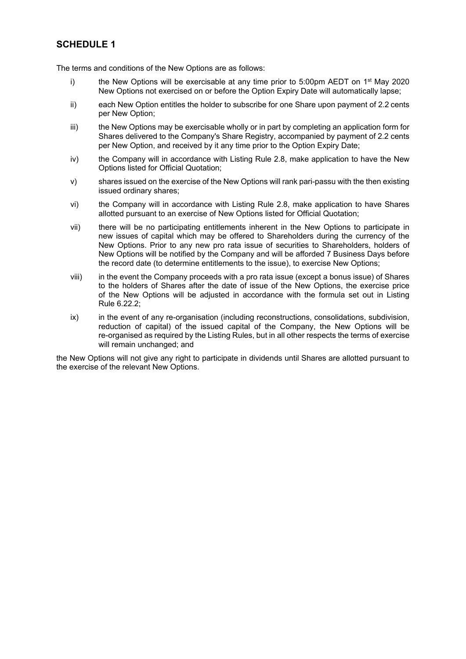# **SCHEDULE 1**

The terms and conditions of the New Options are as follows:

- i) the New Options will be exercisable at any time prior to 5:00pm AEDT on  $1<sup>st</sup>$  May 2020 New Options not exercised on or before the Option Expiry Date will automatically lapse;
- ii) each New Option entitles the holder to subscribe for one Share upon payment of 2.2 cents per New Option;
- iii) the New Options may be exercisable wholly or in part by completing an application form for Shares delivered to the Company's Share Registry, accompanied by payment of 2.2 cents per New Option, and received by it any time prior to the Option Expiry Date;
- iv) the Company will in accordance with Listing Rule 2.8, make application to have the New Options listed for Official Quotation;
- v) shares issued on the exercise of the New Options will rank pari-passu with the then existing issued ordinary shares;
- vi) the Company will in accordance with Listing Rule 2.8, make application to have Shares allotted pursuant to an exercise of New Options listed for Official Quotation;
- vii) there will be no participating entitlements inherent in the New Options to participate in new issues of capital which may be offered to Shareholders during the currency of the New Options. Prior to any new pro rata issue of securities to Shareholders, holders of New Options will be notified by the Company and will be afforded 7 Business Days before the record date (to determine entitlements to the issue), to exercise New Options;
- viii) in the event the Company proceeds with a pro rata issue (except a bonus issue) of Shares to the holders of Shares after the date of issue of the New Options, the exercise price of the New Options will be adjusted in accordance with the formula set out in Listing Rule 6.22.2;
- ix) in the event of any re-organisation (including reconstructions, consolidations, subdivision, reduction of capital) of the issued capital of the Company, the New Options will be re-organised as required by the Listing Rules, but in all other respects the terms of exercise will remain unchanged; and

the New Options will not give any right to participate in dividends until Shares are allotted pursuant to the exercise of the relevant New Options.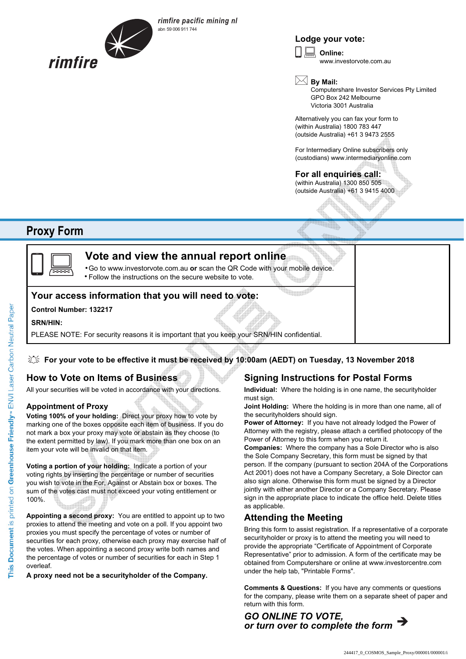

*rimfire pacific mining nl* abn 59 006 911 744

## **Lodge your vote:**

**Online:** www.investorvote.com.au  $\boxed{\Box}$ 

**By Mail:**

Computershare Investor Services Pty Limited GPO Box 242 Melbourne Victoria 3001 Australia

Alternatively you can fax your form to (within Australia) 1800 783 447 (outside Australia) +61 3 9473 2555

For Intermediary Online subscribers only (custodians) www.intermediaryonline.com

**For all enquiries call:** (within Australia) 1300 850 505 (outside Australia) +61 3 9415 4000

# **Proxy Form**



# **Vote and view the annual report online**

Go to www.investorvote.com.au **or** scan the QR Code with your mobile device. Follow the instructions on the secure website to vote. •

# **Your access information that you will need to vote:**

#### **Control Number: 132217**

#### **SRN/HIN:**

PLEASE NOTE: For security reasons it is important that you keep your SRN/HIN confidential.

### **For your vote to be effective it must be received by 10:00am (AEDT) on Tuesday, 13 November 2018**

# **How to Vote on Items of Business**

All your securities will be voted in accordance with your directions.

#### **Appointment of Proxy**

**Voting 100% of your holding:** Direct your proxy how to vote by marking one of the boxes opposite each item of business. If you do not mark a box your proxy may vote or abstain as they choose (to the extent permitted by law). If you mark more than one box on an item your vote will be invalid on that item.

**Voting a portion of your holding:** Indicate a portion of your voting rights by inserting the percentage or number of securities you wish to vote in the For, Against or Abstain box or boxes. The sum of the votes cast must not exceed your voting entitlement or 100%.

**Appointing a second proxy:** You are entitled to appoint up to two proxies to attend the meeting and vote on a poll. If you appoint two proxies you must specify the percentage of votes or number of securities for each proxy, otherwise each proxy may exercise half of the votes. When appointing a second proxy write both names and the percentage of votes or number of securities for each in Step 1 overleaf.

**A proxy need not be a securityholder of the Company.**

# **Signing Instructions for Postal Forms**

**Individual:** Where the holding is in one name, the securityholder must sign.

**Joint Holding:** Where the holding is in more than one name, all of the securityholders should sign.

**Power of Attorney:** If you have not already lodged the Power of Attorney with the registry, please attach a certified photocopy of the Power of Attorney to this form when you return it.

**Companies:** Where the company has a Sole Director who is also the Sole Company Secretary, this form must be signed by that person. If the company (pursuant to section 204A of the Corporations Act 2001) does not have a Company Secretary, a Sole Director can also sign alone. Otherwise this form must be signed by a Director jointly with either another Director or a Company Secretary. Please sign in the appropriate place to indicate the office held. Delete titles as applicable.

## **Attending the Meeting**

Bring this form to assist registration. If a representative of a corporate securityholder or proxy is to attend the meeting you will need to provide the appropriate "Certificate of Appointment of Corporate Representative" prior to admission. A form of the certificate may be obtained from Computershare or online at www.investorcentre.com under the help tab, "Printable Forms".

**Comments & Questions:** If you have any comments or questions for the company, please write them on a separate sheet of paper and return with this form.

*GO ONLINE TO VOTE, or turn over to complete the form*